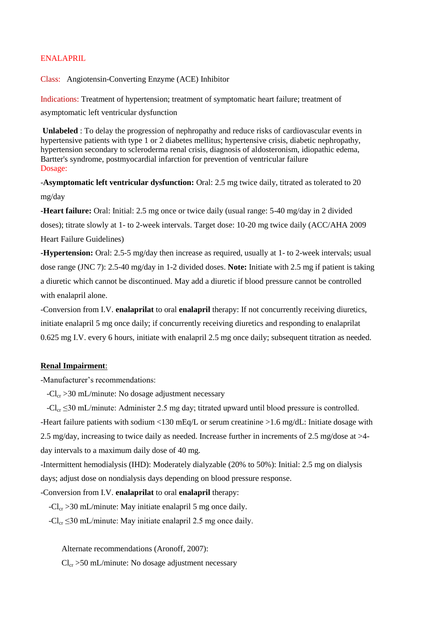## ENALAPRIL

Class: Angiotensin-Converting Enzyme (ACE) Inhibitor

Indications: Treatment of hypertension; treatment of symptomatic heart failure; treatment of asymptomatic left ventricular dysfunction

**Unlabeled** : To delay the progression of nephropathy and reduce risks of cardiovascular events in hypertensive patients with type 1 or 2 diabetes mellitus; hypertensive crisis, diabetic nephropathy, hypertension secondary to scleroderma renal crisis, diagnosis of aldosteronism, idiopathic edema, Bartter's syndrome, postmyocardial infarction for prevention of ventricular failure Dosage:

-**Asymptomatic left ventricular dysfunction:** Oral: 2.5 mg twice daily, titrated as tolerated to 20 mg/day

**-Heart failure:** Oral: Initial: 2.5 mg once or twice daily (usual range: 5-40 mg/day in 2 divided doses); titrate slowly at 1- to 2-week intervals. Target dose: 10-20 mg twice daily (ACC/AHA 2009 Heart Failure Guidelines)

**-Hypertension:** Oral: 2.5-5 mg/day then increase as required, usually at 1- to 2-week intervals; usual dose range (JNC 7): 2.5-40 mg/day in 1-2 divided doses. **Note:** Initiate with 2.5 mg if patient is taking a diuretic which cannot be discontinued. May add a diuretic if blood pressure cannot be controlled with enalapril alone.

-Conversion from I.V. **enalaprilat** to oral **enalapril** therapy: If not concurrently receiving diuretics, initiate enalapril 5 mg once daily; if concurrently receiving diuretics and responding to enalaprilat 0.625 mg I.V. every 6 hours, initiate with enalapril 2.5 mg once daily; subsequent titration as needed.

## **Renal Impairment**:

-Manufacturer's recommendations:

 $-Cl_{cr} > 30$  mL/minute: No dosage adjustment necessary

 $-Cl_{cr} \leq 30$  mL/minute: Administer 2.5 mg day; titrated upward until blood pressure is controlled. -Heart failure patients with sodium <130 mEq/L or serum creatinine >1.6 mg/dL: Initiate dosage with 2.5 mg/day, increasing to twice daily as needed. Increase further in increments of 2.5 mg/dose at >4 day intervals to a maximum daily dose of 40 mg.

-Intermittent hemodialysis (IHD): Moderately dialyzable (20% to 50%): Initial: 2.5 mg on dialysis days; adjust dose on nondialysis days depending on blood pressure response.

-Conversion from I.V. **enalaprilat** to oral **enalapril** therapy:

 $-Cl_{cr} > 30$  mL/minute: May initiate enalapril 5 mg once daily.

 $-Cl_{cr} \leq 30$  mL/minute: May initiate enalapril 2.5 mg once daily.

Alternate recommendations (Aronoff, 2007):

 $Cl_{cr} > 50$  mL/minute: No dosage adjustment necessary